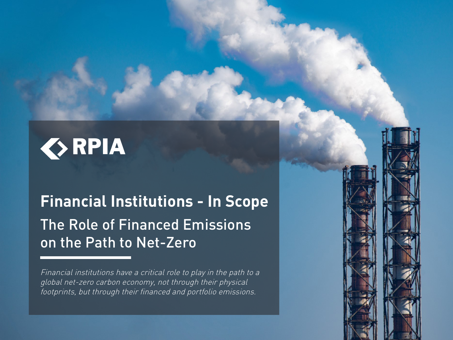

# **Financial Institutions - In Scope** The Role of Financed Emissions on the Path to Net-Zero

Financial institutions have a critical role to play in the path to a global net-zero carbon economy, not through their physical footprints, but through their financed and portfolio emissions.

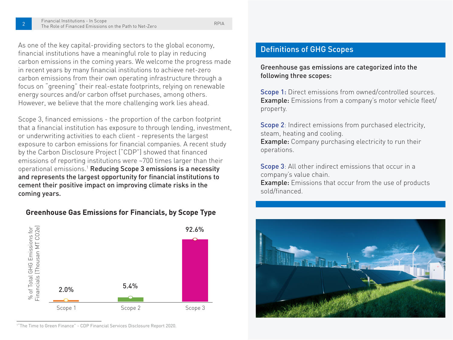As one of the key capital-providing sectors to the global economy, financial institutions have a meaningful role to play in reducing carbon emissions in the coming years. We welcome the progress made in recent years by many financial institutions to achieve net-zero carbon emissions from their own operating infrastructure through a focus on "greening" their real-estate footprints, relying on renewable energy sources and/or carbon offset purchases, among others. However, we believe that the more challenging work lies ahead.

Scope 3, financed emissions - the proportion of the carbon footprint that a financial institution has exposure to through lending, investment, or underwriting activities to each client - represents the largest exposure to carbon emissions for financial companies. A recent study by the Carbon Disclosure Project ("CDP") showed that financed emissions of reporting institutions were ~700 times larger than their operational emissions.1 Reducing Scope 3 emissions is a necessity and represents the largest opportunity for financial institutions to cement their positive impact on improving climate risks in the coming years.

#### **Greenhouse Gas Emissions for Financials, by Scope Type**



1 "The Time to Green Finance" - CDP Financial Services Disclosure Report 2020.

#### Definitions of GHG Scopes

Greenhouse gas emissions are categorized into the following three scopes:

Scope 1: Direct emissions from owned/controlled sources. Example: Emissions from a company's motor vehicle fleet/ property.

Scope 2: Indirect emissions from purchased electricity, steam, heating and cooling. Example: Company purchasing electricity to run their operations.

Scope 3: All other indirect emissions that occur in a company's value chain. **Example:** Emissions that occur from the use of products

sold/financed.

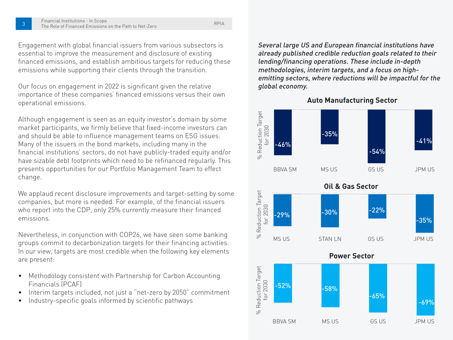Engagement with global financial issuers from various subsectors is essential to improve the measurement and disclosure of existing financed emissions, and establish ambitious targets for reducing these emissions while supporting their clients through the transition.

Our focus on engagement in 2022 is significant given the relative importance of these companies' financed emissions versus their own operational emissions.

Although engagement is seen as an equity investor's domain by some market participants, we firmly believe that fixed-income investors can and should be able to influence management teams on ESG issues. Many of the issuers in the bond markets, including many in the financial institutions' sectors, do not have publicly-traded equity and/or have sizable debt footprints which need to be refinanced regularly. This presents opportunities for our Portfolio Management Team to effect change.

We applaud recent disclosure improvements and target-setting by some companies, but more is needed. For example, of the financial issuers who report into the CDP, only 25% currently measure their financed emissions.

Nevertheless, in conjunction with COP26, we have seen some banking groups commit to decarbonization targets for their financing activities. In our view, targets are most credible when the following key elements are present:

- Methodology consistent with Partnership for Carbon Accounting Financials (PCAF)
- Interim targets included, not just a "net-zero by 2050" commitment
- Industry-specific goals informed by scientific pathways

Several large US and European financial institutions have already published credible reduction goals related to their lending/financing operations. These include in-depth methodologies, interim targets, and a focus on highemitting sectors, where reductions will be impactful for the global economy.

**Auto Manufacturing Sector**

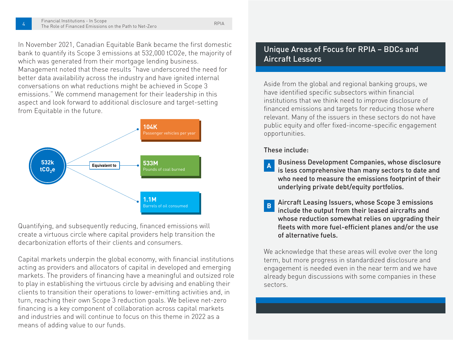In November 2021, Canadian Equitable Bank became the first domestic bank to quantify its Scope 3 emissions at 532,000 tCO2e, the majority of which was generated from their mortgage lending business. Management noted that these results "have underscored the need for better data availability across the industry and have ignited internal conversations on what reductions might be achieved in Scope 3 emissions." We commend management for their leadership in this aspect and look forward to additional disclosure and target-setting from Equitable in the future.



Quantifying, and subsequently reducing, financed emissions will create a virtuous circle where capital providers help transition the decarbonization efforts of their clients and consumers.

Capital markets underpin the global economy, with financial institutions acting as providers and allocators of capital in developed and emerging markets. The providers of financing have a meaningful and outsized role to play in establishing the virtuous circle by advising and enabling their clients to transition their operations to lower-emitting activities and, in turn, reaching their own Scope 3 reduction goals. We believe net-zero financing is a key component of collaboration across capital markets and industries and will continue to focus on this theme in 2022 as a means of adding value to our funds.

# Unique Areas of Focus for RPIA – BDCs and Aircraft Lessors

Aside from the global and regional banking groups, we have identified specific subsectors within financial institutions that we think need to improve disclosure of financed emissions and targets for reducing those where relevant. Many of the issuers in these sectors do not have public equity and offer fixed-income-specific engagement opportunities.

These include:

- **<sup>A</sup>** Business Development Companies, whose disclosure is less comprehensive than many sectors to date and who need to measure the emissions footprint of their underlying private debt/equity portfolios.
- Aircraft Leasing Issuers, whose Scope 3 emissions include the output from their leased aircrafts and whose reduction somewhat relies on upgrading their fleets with more fuel-efficient planes and/or the use of alternative fuels.

We acknowledge that these areas will evolve over the long term, but more progress in standardized disclosure and engagement is needed even in the near term and we have already begun discussions with some companies in these sectors.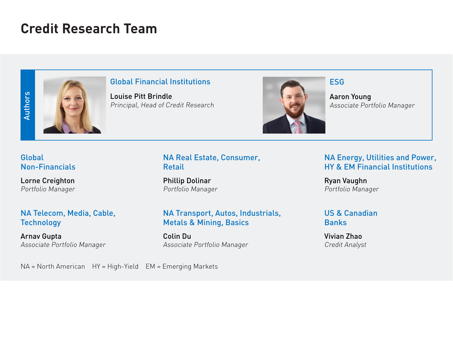# **Credit Research Team**



#### Global Financial Institutions **ESG**

Louise Pitt Brindle Principal, Head of Credit Research



Aaron Young Associate Portfolio Manager

#### Global Non-Financials

Lorne Creighton Portfolio Manager

# NA Telecom, Media, Cable, **Technology**

Arnav Gupta Associate Portfolio Manager

# NA Real Estate, Consumer, Retail

Phillip Dolinar Portfolio Manager

#### NA Transport, Autos, Industrials, Metals & Mining, Basics

Colin Du Associate Portfolio Manager

# NA Energy, Utilities and Power, HY & EM Financial Institutions

Ryan Vaughn Portfolio Manager

#### US & Canadian **Banks**

Vivian Zhao Credit Analyst

NA = North American HY = High-Yield EM = Emerging Markets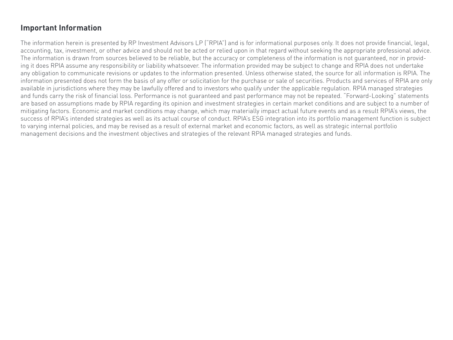# **Important Information**

The information herein is presented by RP Investment Advisors LP ("RPIA") and is for informational purposes only. It does not provide financial, legal, accounting, tax, investment, or other advice and should not be acted or relied upon in that regard without seeking the appropriate professional advice. The information is drawn from sources believed to be reliable, but the accuracy or completeness of the information is not guaranteed, nor in providing it does RPIA assume any responsibility or liability whatsoever. The information provided may be subject to change and RPIA does not undertake any obligation to communicate revisions or updates to the information presented. Unless otherwise stated, the source for all information is RPIA. The information presented does not form the basis of any offer or solicitation for the purchase or sale of securities. Products and services of RPIA are only available in jurisdictions where they may be lawfully offered and to investors who qualify under the applicable regulation. RPIA managed strategies and funds carry the risk of financial loss. Performance is not guaranteed and past performance may not be repeated. "Forward-Looking" statements are based on assumptions made by RPIA regarding its opinion and investment strategies in certain market conditions and are subject to a number of mitigating factors. Economic and market conditions may change, which may materially impact actual future events and as a result RPIA's views, the success of RPIA's intended strategies as well as its actual course of conduct. RPIA's ESG integration into its portfolio management function is subject to varying internal policies, and may be revised as a result of external market and economic factors, as well as strategic internal portfolio management decisions and the investment objectives and strategies of the relevant RPIA managed strategies and funds.